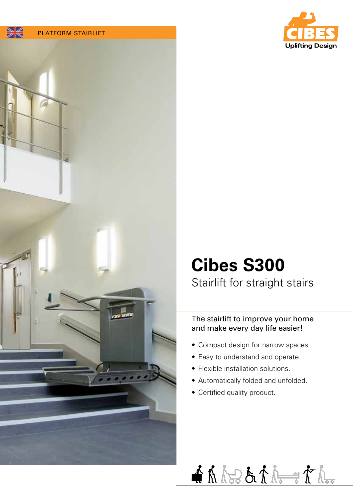





# **Cibes S300**

## Stairlift for straight stairs

The stairlift to improve your home and make every day life easier!

- Compact design for narrow spaces.
- Easy to understand and operate.
- Flexible installation solutions.
- Automatically folded and unfolded.
- Certified quality product.